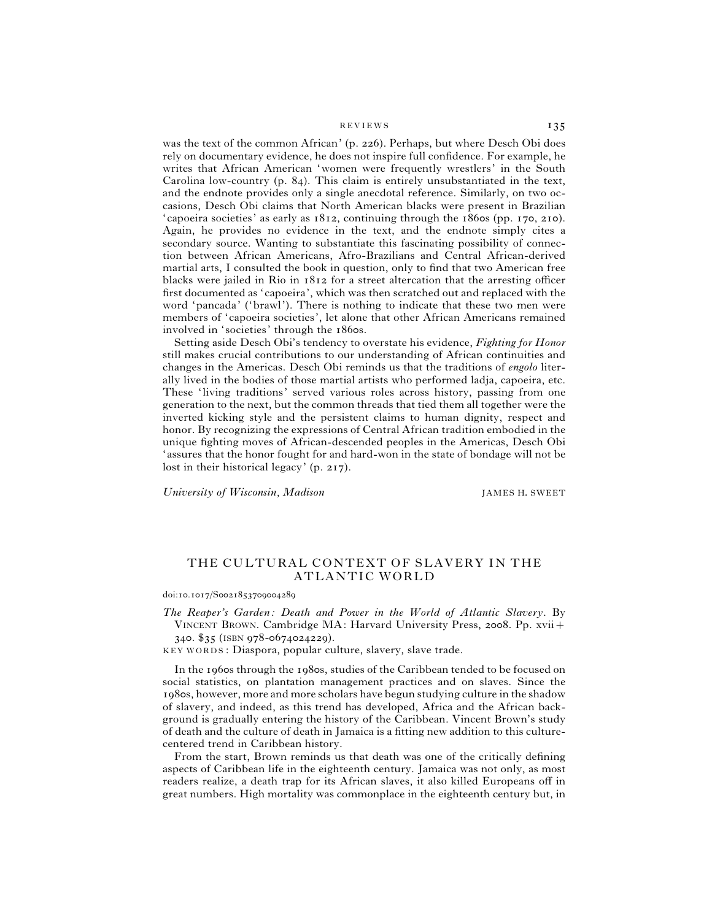## REVIEWS 135

was the text of the common African' (p. 226). Perhaps, but where Desch Obi does rely on documentary evidence, he does not inspire full confidence. For example, he writes that African American 'women were frequently wrestlers' in the South Carolina low-country (p. 84). This claim is entirely unsubstantiated in the text, and the endnote provides only a single anecdotal reference. Similarly, on two occasions, Desch Obi claims that North American blacks were present in Brazilian 'capoeira societies' as early as  $1812$ , continuing through the  $1860s$  (pp.  $170$ ,  $210$ ). Again, he provides no evidence in the text, and the endnote simply cites a secondary source. Wanting to substantiate this fascinating possibility of connection between African Americans, Afro-Brazilians and Central African-derived martial arts, I consulted the book in question, only to find that two American free blacks were jailed in Rio in 1812 for a street altercation that the arresting officer first documented as 'capoeira', which was then scratched out and replaced with the word 'pancada' ('brawl'). There is nothing to indicate that these two men were members of 'capoeira societies ', let alone that other African Americans remained involved in 'societies ' through the 1860s.

Setting aside Desch Obi's tendency to overstate his evidence, Fighting for Honor still makes crucial contributions to our understanding of African continuities and changes in the Americas. Desch Obi reminds us that the traditions of engolo literally lived in the bodies of those martial artists who performed ladja, capoeira, etc. These 'living traditions' served various roles across history, passing from one generation to the next, but the common threads that tied them all together were the inverted kicking style and the persistent claims to human dignity, respect and honor. By recognizing the expressions of Central African tradition embodied in the unique fighting moves of African-descended peoples in the Americas, Desch Obi 'assures that the honor fought for and hard-won in the state of bondage will not be lost in their historical legacy' (p. 217).

University of Wisconsin, Madison JAMES H. SWEET

## THE CULTURAL CONTEXT OF SLAVERY IN THE ATLANTIC WORLD

doi:10.1017/S0021853709004289

The Reaper's Garden: Death and Power in the World of Atlantic Slavery. By VINCENT BROWN. Cambridge MA: Harvard University Press, 2008. Pp. xvii+ 340. \$35 (ISBN 978-0674024229).

KEY WORDS: Diaspora, popular culture, slavery, slave trade.

In the 1960s through the 1980s, studies of the Caribbean tended to be focused on social statistics, on plantation management practices and on slaves. Since the 1980s, however, more and more scholars have begun studying culture in the shadow of slavery, and indeed, as this trend has developed, Africa and the African background is gradually entering the history of the Caribbean. Vincent Brown's study of death and the culture of death in Jamaica is a fitting new addition to this culturecentered trend in Caribbean history.

From the start, Brown reminds us that death was one of the critically defining aspects of Caribbean life in the eighteenth century. Jamaica was not only, as most readers realize, a death trap for its African slaves, it also killed Europeans off in great numbers. High mortality was commonplace in the eighteenth century but, in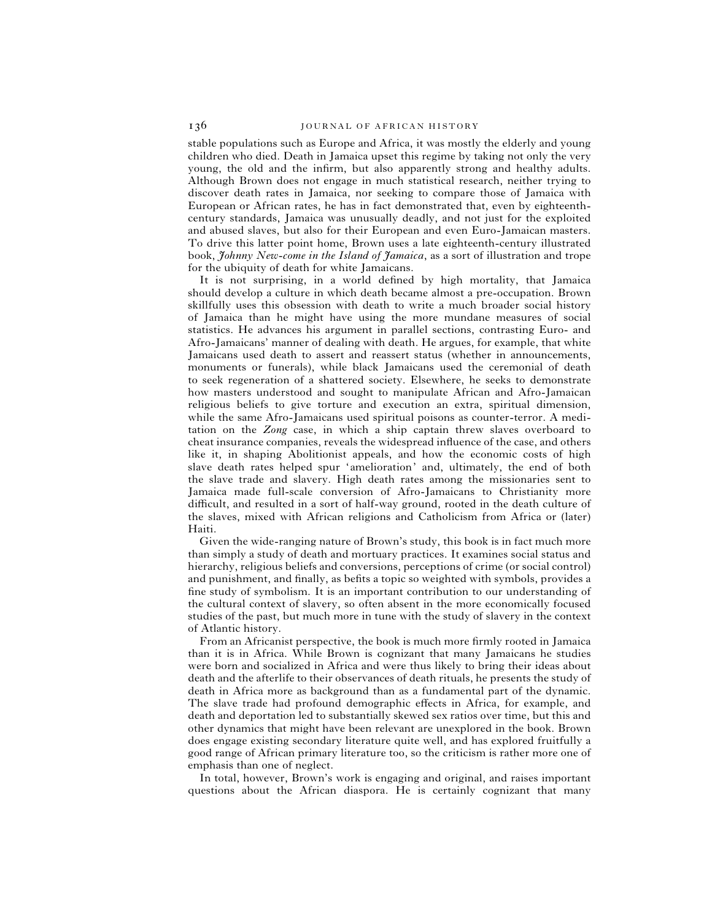stable populations such as Europe and Africa, it was mostly the elderly and young children who died. Death in Jamaica upset this regime by taking not only the very young, the old and the infirm, but also apparently strong and healthy adults. Although Brown does not engage in much statistical research, neither trying to discover death rates in Jamaica, nor seeking to compare those of Jamaica with European or African rates, he has in fact demonstrated that, even by eighteenthcentury standards, Jamaica was unusually deadly, and not just for the exploited and abused slaves, but also for their European and even Euro-Jamaican masters. To drive this latter point home, Brown uses a late eighteenth-century illustrated book, *Johnny New-come in the Island of Jamaica*, as a sort of illustration and trope for the ubiquity of death for white Jamaicans.

It is not surprising, in a world defined by high mortality, that Jamaica should develop a culture in which death became almost a pre-occupation. Brown skillfully uses this obsession with death to write a much broader social history of Jamaica than he might have using the more mundane measures of social statistics. He advances his argument in parallel sections, contrasting Euro- and Afro-Jamaicans' manner of dealing with death. He argues, for example, that white Jamaicans used death to assert and reassert status (whether in announcements, monuments or funerals), while black Jamaicans used the ceremonial of death to seek regeneration of a shattered society. Elsewhere, he seeks to demonstrate how masters understood and sought to manipulate African and Afro-Jamaican religious beliefs to give torture and execution an extra, spiritual dimension, while the same Afro-Jamaicans used spiritual poisons as counter-terror. A meditation on the Zong case, in which a ship captain threw slaves overboard to cheat insurance companies, reveals the widespread influence of the case, and others like it, in shaping Abolitionist appeals, and how the economic costs of high slave death rates helped spur 'amelioration' and, ultimately, the end of both the slave trade and slavery. High death rates among the missionaries sent to Jamaica made full-scale conversion of Afro-Jamaicans to Christianity more difficult, and resulted in a sort of half-way ground, rooted in the death culture of the slaves, mixed with African religions and Catholicism from Africa or (later) Haiti.

Given the wide-ranging nature of Brown's study, this book is in fact much more than simply a study of death and mortuary practices. It examines social status and hierarchy, religious beliefs and conversions, perceptions of crime (or social control) and punishment, and finally, as befits a topic so weighted with symbols, provides a fine study of symbolism. It is an important contribution to our understanding of the cultural context of slavery, so often absent in the more economically focused studies of the past, but much more in tune with the study of slavery in the context of Atlantic history.

From an Africanist perspective, the book is much more firmly rooted in Jamaica than it is in Africa. While Brown is cognizant that many Jamaicans he studies were born and socialized in Africa and were thus likely to bring their ideas about death and the afterlife to their observances of death rituals, he presents the study of death in Africa more as background than as a fundamental part of the dynamic. The slave trade had profound demographic effects in Africa, for example, and death and deportation led to substantially skewed sex ratios over time, but this and other dynamics that might have been relevant are unexplored in the book. Brown does engage existing secondary literature quite well, and has explored fruitfully a good range of African primary literature too, so the criticism is rather more one of emphasis than one of neglect.

In total, however, Brown's work is engaging and original, and raises important questions about the African diaspora. He is certainly cognizant that many